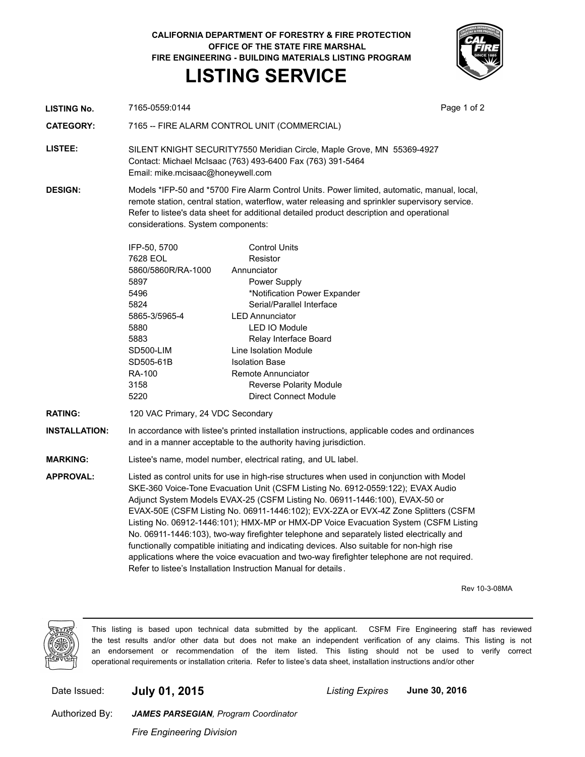**CALIFORNIA DEPARTMENT OF FORESTRY & FIRE PROTECTION OFFICE OF THE STATE FIRE MARSHAL FIRE ENGINEERING - BUILDING MATERIALS LISTING PROGRAM LISTING SERVICE**



| LISTING No. | 7165-0559:0144 | Page 1 of 2 |
|-------------|----------------|-------------|

**CATEGORY:** 7165 -- FIRE ALARM CONTROL UNIT (COMMERCIAL)

**LISTEE:** SILENT KNIGHT SECURITY7550 Meridian Circle, Maple Grove, MN 55369-4927 Contact: Michael McIsaac (763) 493-6400 Fax (763) 391-5464 Email: mike.mcisaac@honeywell.com

**DESIGN:** Models \*IFP-50 and \*5700 Fire Alarm Control Units. Power limited, automatic, manual, local, remote station, central station, waterflow, water releasing and sprinkler supervisory service. Refer to listee's data sheet for additional detailed product description and operational considerations. System components:

| IFP-50, 5700       | Control Units                  |
|--------------------|--------------------------------|
| 7628 EOL           | Resistor                       |
| 5860/5860R/RA-1000 | Annunciator                    |
| 5897               | Power Supply                   |
| 5496               | *Notification Power Expander   |
| 5824               | Serial/Parallel Interface      |
| 5865-3/5965-4      | I FD Annunciator               |
| 5880               | I ED IO Module                 |
| 5883               | Relay Interface Board          |
| SD500-LIM          | Line Isolation Module          |
| SD505-61B          | <b>Isolation Base</b>          |
| RA-100             | Remote Annunciator             |
| 3158               | <b>Reverse Polarity Module</b> |
| 5220               | Direct Connect Module          |
|                    |                                |

**RATING:** 120 VAC Primary, 24 VDC Secondary

**INSTALLATION:** In accordance with listee's printed installation instructions, applicable codes and ordinances and in a manner acceptable to the authority having jurisdiction.

**MARKING:** Listee's name, model number, electrical rating, and UL label.

**APPROVAL:** Listed as control units for use in high-rise structures when used in conjunction with Model SKE-360 Voice-Tone Evacuation Unit (CSFM Listing No. 6912-0559:122); EVAX Audio Adjunct System Models EVAX-25 (CSFM Listing No. 06911-1446:100), EVAX-50 or EVAX-50E (CSFM Listing No. 06911-1446:102); EVX-2ZA or EVX-4Z Zone Splitters (CSFM Listing No. 06912-1446:101); HMX-MP or HMX-DP Voice Evacuation System (CSFM Listing No. 06911-1446:103), two-way firefighter telephone and separately listed electrically and functionally compatible initiating and indicating devices. Also suitable for non-high rise applications where the voice evacuation and two-way firefighter telephone are not required. Refer to listee's Installation Instruction Manual for details.

Rev 10-3-08MA



This listing is based upon technical data submitted by the applicant. CSFM Fire Engineering staff has reviewed the test results and/or other data but does not make an independent verification of any claims. This listing is not an endorsement or recommendation of the item listed. This listing should not be used to verify correct operational requirements or installation criteria. Refer to listee's data sheet, installation instructions and/or other

Date Issued: **July 01, 2015** *Listing Expires* **June 30, 2016**

Authorized By:

*Fire Engineering Division*

*JAMES PARSEGIAN, Program Coordinator*